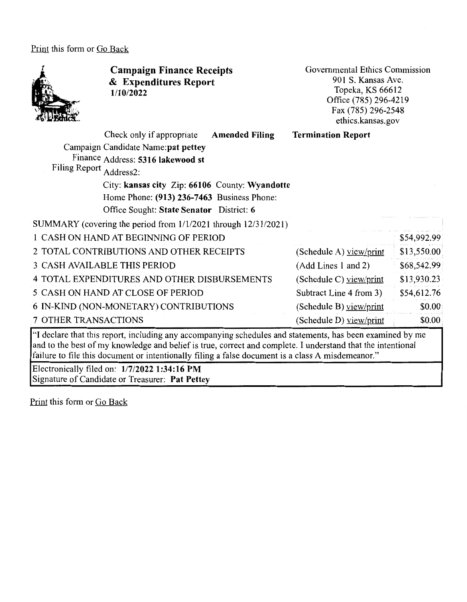Print this form or Go Back



**Campaign Finance Receipts**  & **Expenditures Report 1/10/2022** 

Governmental Ethics Commission 901 S. Kansas Ave. Topeka, KS 66612 Office (785) 296-4219 Fax(785)296-2548 ethics.kansas.gov

Check only if appropriate **Amended Filing Termination Report** 

Campaign Candidate **Name:pat pettey**  Finance Address: **5316 lakewood st**  Filing Report Address2:

> City: **kansas city** Zip: **66106** County: **Wyandotte**  Home Phone: **(913) 236-7463** Business Phone: Office Sought: **State Senator** District: **6**

SUMMARY (covering the period from 1/1/2021 through 12/31/2021)

| 1 CASH ON HAND AT BEGINNING OF PERIOD        |                           | \$54,992.99 |
|----------------------------------------------|---------------------------|-------------|
| 2 TOTAL CONTRIBUTIONS AND OTHER RECEIPTS     | (Schedule A) view/print   | \$13,550.00 |
| 3 CASH AVAILABLE THIS PERIOD                 | (Add Lines 1 and 2)       | \$68,542.99 |
| 4 TOTAL EXPENDITURES AND OTHER DISBURSEMENTS | (Schedule C) view/print   | \$13,930.23 |
| 5 CASH ON HAND AT CLOSE OF PERIOD            | Subtract Line 4 from 3)   | \$54,612.76 |
| 6 IN-KIND (NON-MONETARY) CONTRIBUTIONS       | (Schedule B) $view/print$ | \$0.00      |
| 7 OTHER TRANSACTIONS                         | (Schedule D) yiew/print   | \$0.00      |

"I declare that this report, including any accompanying schedules and statements, has been examined by me and to the best of my knowledge and belief is true, correct and complete. I understand that the intentional failure to file this document or intentionally filing a false document is a class A misdemeanor."

Electronically filed on: **1/7/2022 1:34:16 PM**  Signature of Candidate or Treasurer: **Pat Pettey** 

Print this form or Go Back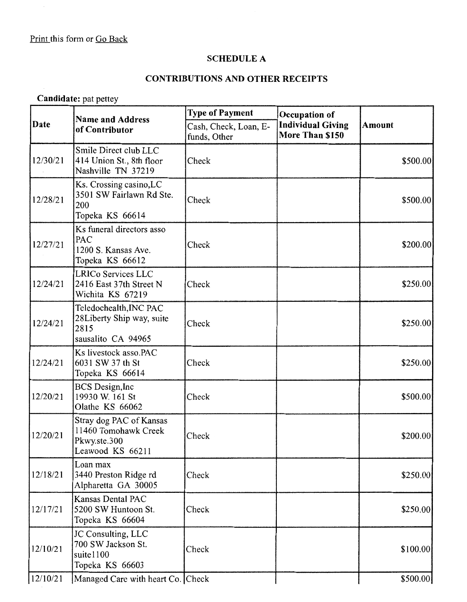#### **SCHEDULE A**

#### **CONTRIBUTIONS AND OTHER RECEIPTS**

## **Candidate:** pat pettey

|          | <b>Name and Address</b><br>of Contributor                                           | <b>Type of Payment</b>                | Occupation of                               |               |  |
|----------|-------------------------------------------------------------------------------------|---------------------------------------|---------------------------------------------|---------------|--|
| Date     |                                                                                     | Cash, Check, Loan, E-<br>funds, Other | <b>Individual Giving</b><br>More Than \$150 | <b>Amount</b> |  |
| 12/30/21 | Smile Direct club LLC<br>414 Union St., 8th floor<br>Nashville TN 37219             | Check                                 |                                             | \$500.00      |  |
| 12/28/21 | Ks. Crossing casino, LC<br>3501 SW Fairlawn Rd Ste.<br>200<br>Topeka KS 66614       | Check                                 |                                             | \$500.00]     |  |
| 12/27/21 | Ks funeral directors asso<br>PAC<br>1200 S. Kansas Ave.<br>Topeka KS 66612          | Check                                 |                                             | \$200.00]     |  |
| 12/24/21 | <b>LRICo Services LLC</b><br>2416 East 37th Street N<br>Wichita KS 67219            | Check                                 |                                             | \$250.00      |  |
| 12/24/21 | Teledochealth, INC PAC<br>28 Liberty Ship way, suite<br>2815<br>sausalito CA 94965  | Check                                 |                                             | \$250.00      |  |
| 12/24/21 | Ks livestock asso.PAC<br>6031 SW 37 th St<br>Topeka KS 66614                        | Check                                 |                                             | \$250.00      |  |
| 12/20/21 | <b>BCS</b> Design, Inc<br>19930 W. 161 St<br>Olathe KS 66062                        | Check                                 |                                             | \$500.00      |  |
| 12/20/21 | Stray dog PAC of Kansas<br>11460 Tomohawk Creek<br>Pkwy.ste.300<br>Leawood KS 66211 | Check                                 |                                             | \$200.00      |  |
| 12/18/21 | Loan max<br>3440 Preston Ridge rd<br>Alpharetta GA 30005                            | Check                                 |                                             | \$250.00]     |  |
| 12/17/21 | Kansas Dental PAC<br>5200 SW Huntoon St.<br>Topeka KS 66604                         | Check                                 |                                             | \$250.00      |  |
| 12/10/21 | JC Consulting, LLC<br>700 SW Jackson St.<br>suite1100<br>Topeka KS 66603            | Check                                 |                                             | \$100.00]     |  |
| 12/10/21 | Managed Care with heart Co. Check                                                   |                                       |                                             | \$500.00]     |  |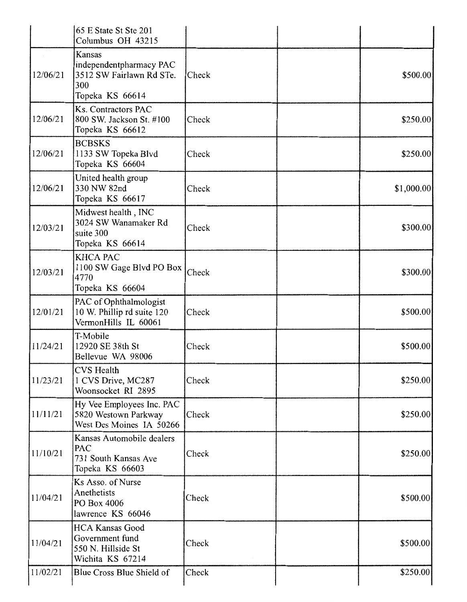|          | 65 E State St Ste 201<br>Columbus OH 43215                                              |       |            |
|----------|-----------------------------------------------------------------------------------------|-------|------------|
| 12/06/21 | Kansas<br>independentpharmacy PAC<br>3512 SW Fairlawn Rd STe.<br>300<br>Topeka KS 66614 | Check | \$500.00   |
| 12/06/21 | Ks. Contractors PAC<br>800 SW. Jackson St. #100<br>Topeka KS 66612                      | Check | \$250.00   |
| 12/06/21 | <b>BCBSKS</b><br>1133 SW Topeka Blvd<br>Topeka KS 66604                                 | Check | \$250.00]  |
| 12/06/21 | United health group<br>330 NW 82nd<br>Topeka KS 66617                                   | Check | \$1,000.00 |
| 12/03/21 | Midwest health, INC<br>3024 SW Wanamaker Rd<br>suite 300<br>Topeka KS 66614             | Check | \$300.00   |
| 12/03/21 | <b>KHCA PAC</b><br>1100 SW Gage Blvd PO Box<br>4770<br>Topeka KS 66604                  | Check | \$300.00   |
| 12/01/21 | PAC of Ophthalmologist<br>10 W. Phillip rd suite 120<br>VermonHills IL 60061            | Check | \$500.00   |
| 11/24/21 | T-Mobile<br>12920 SE 38th St<br>Bellevue WA 98006                                       | Check | \$500.00   |
| 11/23/21 | <b>CVS</b> Health<br>1 CVS Drive, MC287<br>Woonsocket RI 2895                           | Check | \$250.00   |
| 11/11/21 | Hy Vee Employees Inc. PAC<br>5820 Westown Parkway<br>West Des Moines IA 50266           | Check | \$250.00   |
| 11/10/21 | Kansas Automobile dealers<br>PAC<br>731 South Kansas Ave<br>Topeka KS 66603             | Check | \$250.00   |
| 11/04/21 | Ks Asso. of Nurse<br>Anethetists<br>PO Box 4006<br>lawrence KS 66046                    | Check | \$500.00   |
| 11/04/21 | <b>HCA Kansas Good</b><br>Government fund<br>550 N. Hillside St<br>Wichita KS 67214     | Check | \$500.00   |
| 11/02/21 | Blue Cross Blue Shield of                                                               | Check | \$250.00   |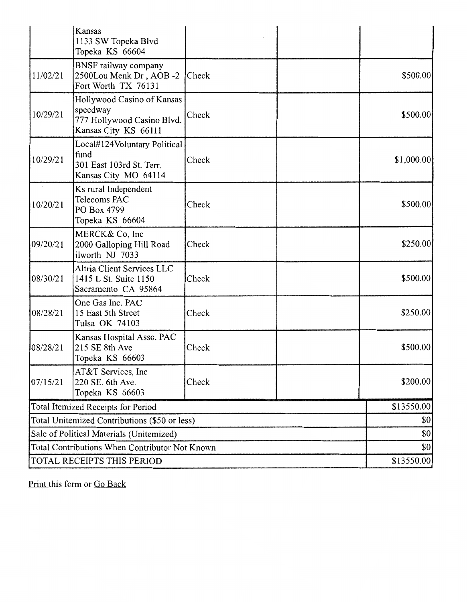|                                                | Kansas<br>1133 SW Topeka Blvd<br>Topeka KS 66604                                             |       |             |
|------------------------------------------------|----------------------------------------------------------------------------------------------|-------|-------------|
| 11/02/21                                       | BNSF railway company<br>2500Lou Menk Dr, AOB -2<br>Fort Worth TX 76131                       | Check | \$500.00    |
| 10/29/21                                       | Hollywood Casino of Kansas<br>speedway<br>777 Hollywood Casino Blvd.<br>Kansas City KS 66111 | Check | \$500.00    |
| 10/29/21                                       | Local#124Voluntary Political<br>fund<br>301 East 103rd St. Terr.<br>Kansas City MO 64114     | Check | \$1,000.00] |
| 10/20/21                                       | Ks rural Independent<br>Telecoms PAC<br>PO Box 4799<br>Topeka KS 66604                       | Check | \$500.00    |
| 09/20/21                                       | MERCK& Co, Inc<br>2000 Galloping Hill Road<br>ilworth NJ 7033                                | Check | \$250.00]   |
| 08/30/21                                       | Altria Client Services LLC<br>1415 L St. Suite 1150<br>Sacramento CA 95864                   | Check | \$500.00    |
| 08/28/21                                       | One Gas Inc. PAC<br>15 East 5th Street<br>Tulsa OK 74103                                     | Check | \$250.00    |
| 08/28/21                                       | Kansas Hospital Asso. PAC<br>215 SE 8th Ave<br>Topeka KS 66603                               | Check | \$500.00    |
| 07/15/21                                       | AT&T Services, Inc<br>220 SE, 6th Ave.<br>Topeka KS 66603                                    | Check | \$200.00]   |
|                                                | Total Itemized Receipts for Period                                                           |       | \$13550.00  |
| Total Unitemized Contributions (\$50 or less)  |                                                                                              | \$0   |             |
| Sale of Political Materials (Unitemized)       |                                                                                              | \$0   |             |
| Total Contributions When Contributor Not Known |                                                                                              | \$0   |             |
|                                                | TOTAL RECEIPTS THIS PERIOD                                                                   |       | \$13550.00  |

Print this form or Go Back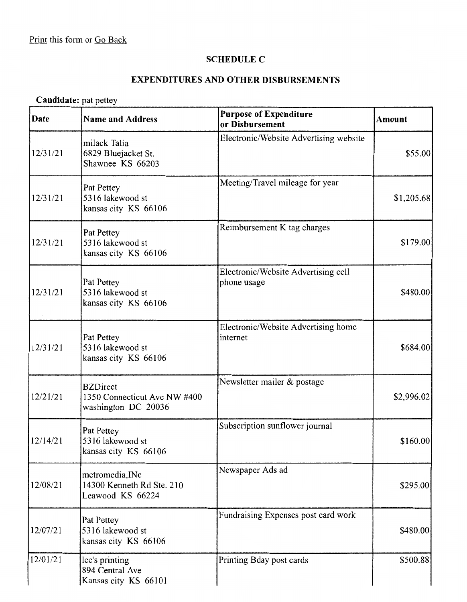#### **SCHEDULE C**

### **EXPENDITURES AND OTHER DISBURSEMENTS**

# **Candidate:** pat pettey

| Date     | <b>Name and Address</b>                                                | <b>Purpose of Expenditure</b><br>or Disbursement   | <b>Amount</b> |
|----------|------------------------------------------------------------------------|----------------------------------------------------|---------------|
| 12/31/21 | milack Talia<br>6829 Bluejacket St.<br>Shawnee KS 66203                | Electronic/Website Advertising website             | \$55.00       |
| 12/31/21 | Pat Pettey<br>5316 lakewood st<br>kansas city KS 66106                 | Meeting/Travel mileage for year                    | \$1,205.68    |
| 12/31/21 | Pat Pettey<br>5316 lakewood st<br>kansas city KS 66106                 | Reimbursement K tag charges                        | \$179.00      |
| 12/31/21 | Pat Pettey<br>5316 lakewood st<br>kansas city KS 66106                 | Electronic/Website Advertising cell<br>phone usage | \$480.00      |
| 12/31/21 | Pat Pettey<br>5316 lakewood st<br>kansas city KS 66106                 | Electronic/Website Advertising home<br>internet    | \$684.00      |
| 12/21/21 | <b>BZDirect</b><br>1350 Connecticut Ave NW #400<br>washington DC 20036 | Newsletter mailer & postage                        | \$2,996.02    |
| 12/14/21 | Pat Pettey<br>5316 lakewood st<br>kansas city KS 66106                 | Subscription sunflower journal                     | \$160.00      |
| 12/08/21 | metromedia, INc<br>14300 Kenneth Rd Ste. 210<br>Leawood KS 66224       | Newspaper Ads ad                                   | \$295.00      |
| 12/07/21 | Pat Pettey<br>5316 lakewood st<br>kansas city KS 66106                 | Fundraising Expenses post card work                | \$480.00      |
| 12/01/21 | lee's printing<br>894 Central Ave<br>Kansas city KS 66101              | Printing Bday post cards                           | \$500.88      |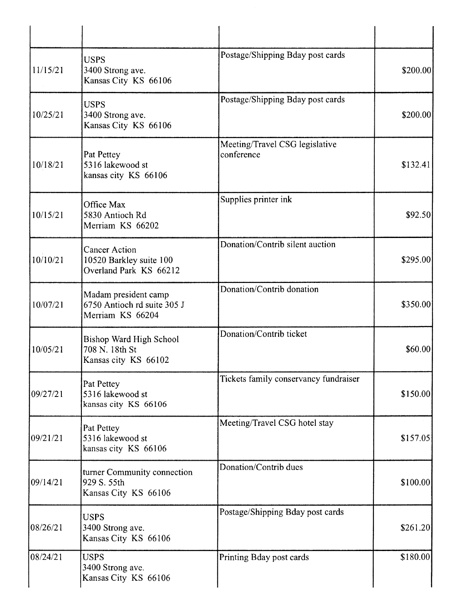| 11/15/21  | <b>USPS</b><br>3400 Strong ave.<br>Kansas City KS 66106                   | Postage/Shipping Bday post cards             | \$200.00  |
|-----------|---------------------------------------------------------------------------|----------------------------------------------|-----------|
| 10/25/21  | <b>USPS</b><br>3400 Strong ave.<br>Kansas City KS 66106                   | Postage/Shipping Bday post cards             | \$200.00  |
| 10/18/21  | Pat Pettey<br>5316 lakewood st<br>kansas city KS 66106                    | Meeting/Travel CSG legislative<br>conference | \$132.41  |
| 10/15/21  | Office Max<br>5830 Antioch Rd<br>Merriam KS 66202                         | Supplies printer ink                         | \$92.50]  |
| 10/10/21  | <b>Cancer Action</b><br>10520 Barkley suite 100<br>Overland Park KS 66212 | Donation/Contrib silent auction              | \$295.00  |
| 10/07/21  | Madam president camp<br>6750 Antioch rd suite 305 J<br>Merriam KS 66204   | Donation/Contrib donation                    | \$350.00  |
| 10/05/21  | Bishop Ward High School<br>708 N. 18th St<br>Kansas city KS 66102         | Donation/Contrib ticket                      | \$60.00   |
| 09/27/21  | Pat Pettey<br>5316 lakewood st<br>kansas city KS 66106                    | Tickets family conservancy fundraiser        | \$150.00  |
| 109/21/21 | Pat Pettey<br>5316 lakewood st<br>kansas city KS 66106                    | Meeting/Travel CSG hotel stay                | \$157.05  |
| 09/14/21  | turner Community connection<br>929 S. 55th<br>Kansas City KS 66106        | Donation/Contrib dues                        | \$100.00] |
| 08/26/21  | <b>USPS</b><br>3400 Strong ave.<br>Kansas City KS 66106                   | Postage/Shipping Bday post cards             | \$261.20  |
| 08/24/21  | <b>USPS</b><br>3400 Strong ave.<br>Kansas City KS 66106                   | Printing Bday post cards                     | \$180.00  |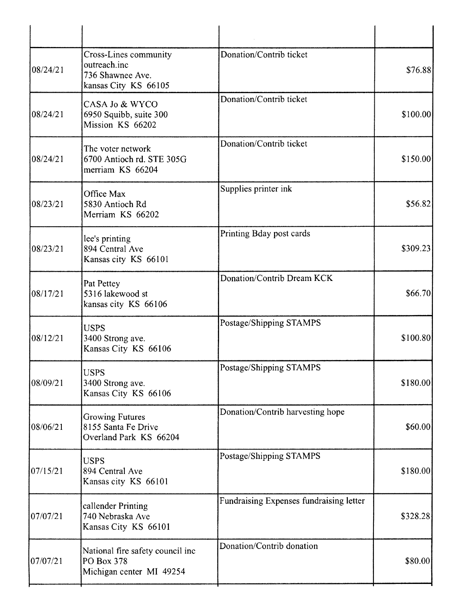| 08/24/21 | Cross-Lines community<br>outreach.inc<br>736 Shawnee Ave.<br>kansas City KS 66105 | Donation/Contrib ticket                 | \$76.88  |
|----------|-----------------------------------------------------------------------------------|-----------------------------------------|----------|
| 08/24/21 | CASA Jo & WYCO<br>6950 Squibb, suite 300<br>Mission KS 66202                      | Donation/Contrib ticket                 | \$100.00 |
| 08/24/21 | The voter network<br>6700 Antioch rd. STE 305G<br>merriam KS 66204                | Donation/Contrib ticket                 | \$150.00 |
| 08/23/21 | Office Max<br>5830 Antioch Rd<br>Merriam KS 66202                                 | Supplies printer ink                    | \$56.82  |
| 08/23/21 | lee's printing<br>894 Central Ave<br>Kansas city KS 66101                         | Printing Bday post cards                | \$309.23 |
| 08/17/21 | Pat Pettey<br>5316 lakewood st<br>kansas city KS 66106                            | Donation/Contrib Dream KCK              | \$66.70  |
| 08/12/21 | <b>USPS</b><br>3400 Strong ave.<br>Kansas City KS 66106                           | Postage/Shipping STAMPS                 | \$100.80 |
| 08/09/21 | <b>USPS</b><br>3400 Strong ave.<br>Kansas City KS 66106                           | Postage/Shipping STAMPS                 | \$180.00 |
| 08/06/21 | <b>Growing Futures</b><br>8155 Santa Fe Drive<br>Overland Park KS 66204           | Donation/Contrib harvesting hope        | \$60.00  |
| 07/15/21 | <b>USPS</b><br>894 Central Ave<br>Kansas city KS 66101                            | Postage/Shipping STAMPS                 | \$180.00 |
| 07/07/21 | callender Printing<br>740 Nebraska Ave<br>Kansas City KS 66101                    | Fundraising Expenses fundraising letter | \$328.28 |
| 07/07/21 | National fire safety council inc<br>PO Box 378<br>Michigan center MI 49254        | Donation/Contrib donation               | \$80.00  |
|          |                                                                                   |                                         |          |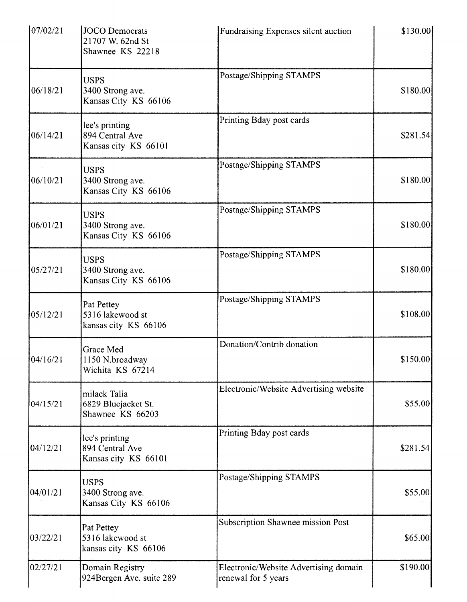| 07/02/21 | JOCO Democrats<br>21707 W. 62nd St<br>Shawnee KS 22218    | Fundraising Expenses silent auction                          | \$130.00  |
|----------|-----------------------------------------------------------|--------------------------------------------------------------|-----------|
| 06/18/21 | <b>USPS</b><br>3400 Strong ave.<br>Kansas City KS 66106   | Postage/Shipping STAMPS                                      | \$180.00  |
| 06/14/21 | lee's printing<br>894 Central Ave<br>Kansas city KS 66101 | Printing Bday post cards                                     | \$281.54] |
| 06/10/21 | <b>USPS</b><br>3400 Strong ave.<br>Kansas City KS 66106   | Postage/Shipping STAMPS                                      | \$180.00  |
| 06/01/21 | <b>USPS</b><br>3400 Strong ave.<br>Kansas City KS 66106   | Postage/Shipping STAMPS                                      | \$180.00  |
| 05/27/21 | <b>USPS</b><br>3400 Strong ave.<br>Kansas City KS 66106   | Postage/Shipping STAMPS                                      | \$180.00] |
| 05/12/21 | Pat Pettey<br>5316 lakewood st<br>kansas city KS 66106    | Postage/Shipping STAMPS                                      | \$108.00  |
| 04/16/21 | Grace Med<br>1150 N.broadway<br>Wichita KS 67214          | Donation/Contrib donation                                    | \$150.00] |
| 04/15/21 | milack Talia<br>6829 Bluejacket St.<br>Shawnee KS 66203   | Electronic/Website Advertising website                       | \$55.00   |
| 04/12/21 | lee's printing<br>894 Central Ave<br>Kansas city KS 66101 | Printing Bday post cards                                     | \$281.54] |
| 04/01/21 | <b>USPS</b><br>3400 Strong ave.<br>Kansas City KS 66106   | Postage/Shipping STAMPS                                      | \$55.00   |
| 03/22/21 | Pat Pettey<br>5316 lakewood st<br>kansas city KS 66106    | Subscription Shawnee mission Post                            | \$65.00   |
| 02/27/21 | Domain Registry<br>924Bergen Ave. suite 289               | Electronic/Website Advertising domain<br>renewal for 5 years | \$190.00  |